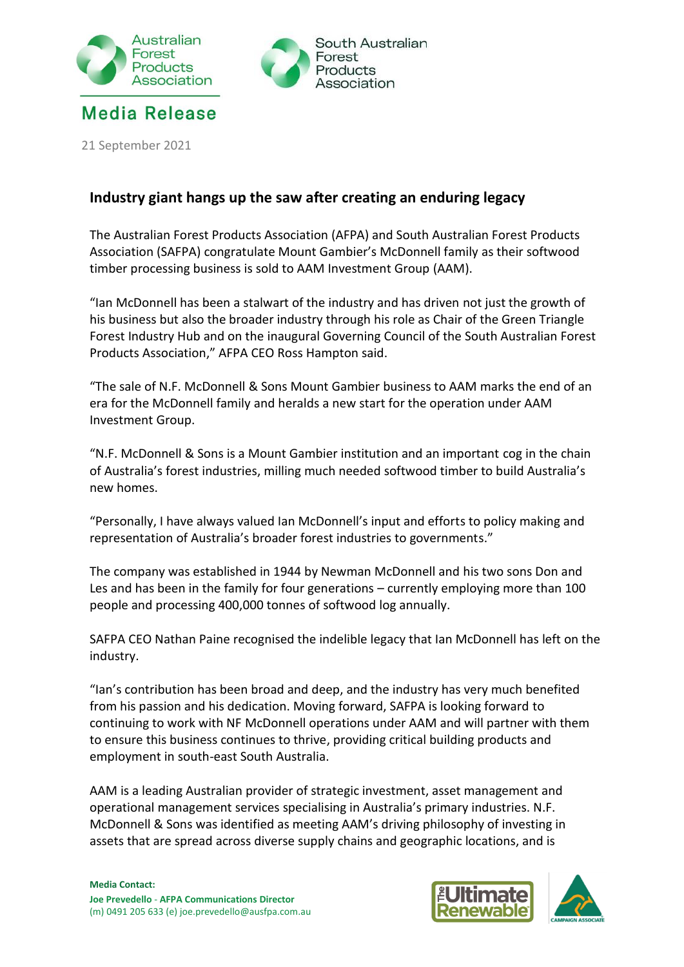



21 September 2021

## **Industry giant hangs up the saw after creating an enduring legacy**

The Australian Forest Products Association (AFPA) and South Australian Forest Products Association (SAFPA) congratulate Mount Gambier's McDonnell family as their softwood timber processing business is sold to AAM Investment Group (AAM).

"Ian McDonnell has been a stalwart of the industry and has driven not just the growth of his business but also the broader industry through his role as Chair of the Green Triangle Forest Industry Hub and on the inaugural Governing Council of the South Australian Forest Products Association," AFPA CEO Ross Hampton said.

"The sale of N.F. McDonnell & Sons Mount Gambier business to AAM marks the end of an era for the McDonnell family and heralds a new start for the operation under AAM Investment Group.

"N.F. McDonnell & Sons is a Mount Gambier institution and an important cog in the chain of Australia's forest industries, milling much needed softwood timber to build Australia's new homes.

"Personally, I have always valued Ian McDonnell's input and efforts to policy making and representation of Australia's broader forest industries to governments."

The company was established in 1944 by Newman McDonnell and his two sons Don and Les and has been in the family for four generations – currently employing more than 100 people and processing 400,000 tonnes of softwood log annually.

SAFPA CEO Nathan Paine recognised the indelible legacy that Ian McDonnell has left on the industry.

"Ian's contribution has been broad and deep, and the industry has very much benefited from his passion and his dedication. Moving forward, SAFPA is looking forward to continuing to work with NF McDonnell operations under AAM and will partner with them to ensure this business continues to thrive, providing critical building products and employment in south-east South Australia.

AAM is a leading Australian provider of strategic investment, asset management and operational management services specialising in Australia's primary industries. N.F. McDonnell & Sons was identified as meeting AAM's driving philosophy of investing in assets that are spread across diverse supply chains and geographic locations, and is